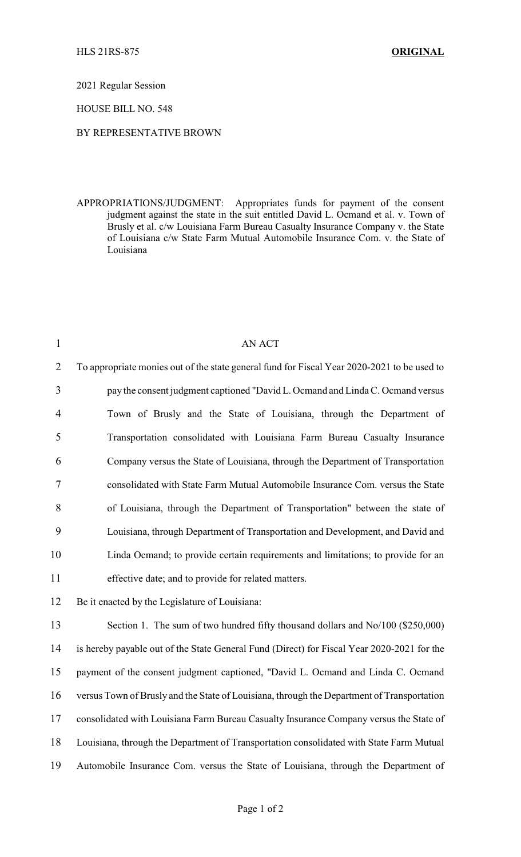2021 Regular Session

HOUSE BILL NO. 548

## BY REPRESENTATIVE BROWN

APPROPRIATIONS/JUDGMENT: Appropriates funds for payment of the consent judgment against the state in the suit entitled David L. Ocmand et al. v. Town of Brusly et al. c/w Louisiana Farm Bureau Casualty Insurance Company v. the State of Louisiana c/w State Farm Mutual Automobile Insurance Com. v. the State of Louisiana

| $\mathbf{1}$   | <b>AN ACT</b>                                                                               |  |  |
|----------------|---------------------------------------------------------------------------------------------|--|--|
| $\overline{2}$ | To appropriate monies out of the state general fund for Fiscal Year 2020-2021 to be used to |  |  |
| 3              | pay the consent judgment captioned "David L. Ocmand and Linda C. Ocmand versus              |  |  |
| $\overline{4}$ | Town of Brusly and the State of Louisiana, through the Department of                        |  |  |
| 5              | Transportation consolidated with Louisiana Farm Bureau Casualty Insurance                   |  |  |
| 6              | Company versus the State of Louisiana, through the Department of Transportation             |  |  |
| 7              | consolidated with State Farm Mutual Automobile Insurance Com. versus the State              |  |  |
| 8              | of Louisiana, through the Department of Transportation" between the state of                |  |  |
| 9              | Louisiana, through Department of Transportation and Development, and David and              |  |  |
| 10             | Linda Ocmand; to provide certain requirements and limitations; to provide for an            |  |  |
| 11             | effective date; and to provide for related matters.                                         |  |  |
| 12             | Be it enacted by the Legislature of Louisiana:                                              |  |  |
| 13             | Section 1. The sum of two hundred fifty thousand dollars and No/100 (\$250,000)             |  |  |
| 14             | is hereby payable out of the State General Fund (Direct) for Fiscal Year 2020-2021 for the  |  |  |
| 15             | payment of the consent judgment captioned, "David L. Ocmand and Linda C. Ocmand             |  |  |
| 16             | versus Town of Brusly and the State of Louisiana, through the Department of Transportation  |  |  |
| 17             | consolidated with Louisiana Farm Bureau Casualty Insurance Company versus the State of      |  |  |
| 18             | Louisiana, through the Department of Transportation consolidated with State Farm Mutual     |  |  |
| 19             | Automobile Insurance Com. versus the State of Louisiana, through the Department of          |  |  |